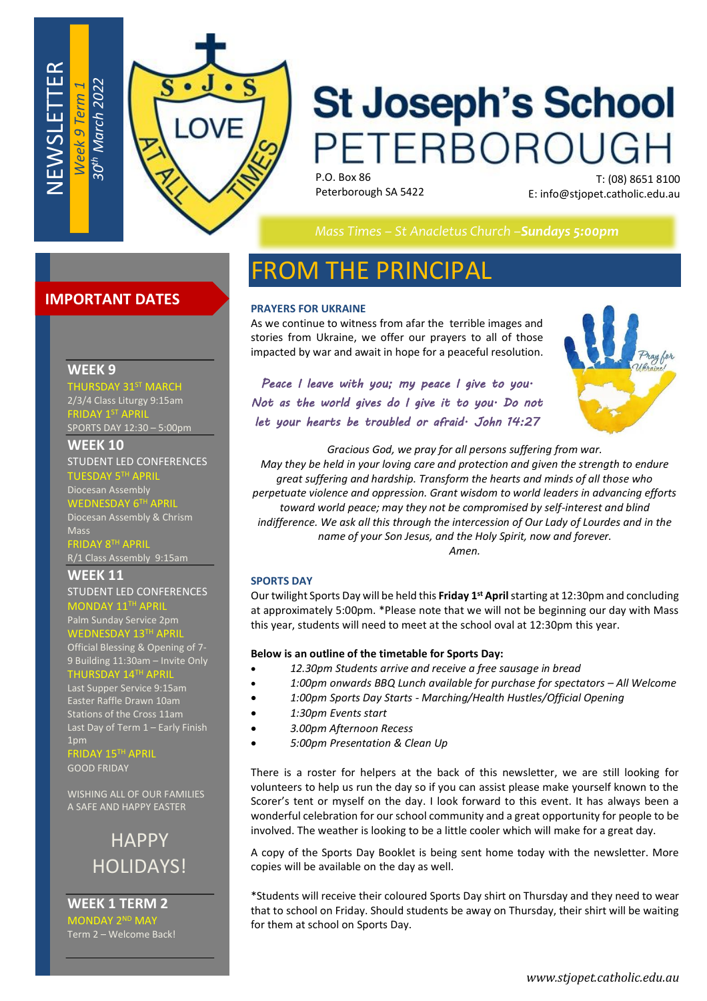

# **St Joseph's School** PETERBOROUGH

P.O. Box 86 Peterborough SA 5422

T: (08) 8651 8100 E: info@stjopet.catholic.edu.au

*Mass Times – St Anacletus Church –Sundays 5:00pm*

# **IMPORTANT DATES**

#### **WEEK 9**

NEWSLETTER

*Week 9 Term 1*

**31ST MARCH** 2/3/4 Class Liturgy 9:15am FRIDAY 1ST APRIL

SPORTS DAY 12:30 – 5:00pm

**WEEK 10**

STUDENT LED CONFERENCES TUESDAY 5TH APRIL

Diocesan Assembly WEDNESDAY 6<sup>TH</sup> APRIL

Diocesan Assembly & Chrism Mass RIDAY 8<sup>TH</sup> APRIL

R/1 Class Assembly 9:15am

**WEEK 11** STUDENT LED CONFERENCES

 $NDAY 11^{TH}$ Palm Sunday Service 2pm

WEDNESDAY 13TH APRIL Official Blessing & Opening of 7-

9 Building 11:30am – Invite Only  $\tt THURSDAY$  14 $^{\sf TH}$  ,

Last Supper Service 9:15am Easter Raffle Drawn 10am Stations of the Cross 11am Last Day of Term 1 – Early Finish 1pm

**AY 15TH APRIL** GOOD FRIDAY

WISHING ALL OF OUR FAMILIES A SAFE AND HAPPY EASTER

> **HAPPY** HOLIDAYS!

**WEEK 1 TERM 2** MONDAY 2 <sup>ND</sup> MAY Term 2 – Welcome Back!

# FROM THE PRINCIPAL

#### **PRAYERS FOR UKRAINE**

As we continue to witness from afar the terrible images and stories from Ukraine, we offer our prayers to all of those impacted by war and await in hope for a peaceful resolution.

*Peace I leave with you; my peace I give to you. Not as the world gives do I give it to you. Do not let your hearts be troubled or afraid. John 14:27*



*Gracious God, we pray for all persons suffering from war. May they be held in your loving care and protection and given the strength to endure great suffering and hardship. Transform the hearts and minds of all those who perpetuate violence and oppression. Grant wisdom to world leaders in advancing efforts toward world peace; may they not be compromised by self-interest and blind indifference. We ask all this through the intercession of Our Lady of Lourdes and in the name of your Son Jesus, and the Holy Spirit, now and forever. Amen.*

#### **SPORTS DAY**

Our twilight Sports Day will be held this **Friday 1 st April** starting at 12:30pm and concluding at approximately 5:00pm. \*Please note that we will not be beginning our day with Mass this year, students will need to meet at the school oval at 12:30pm this year.

#### **Below is an outline of the timetable for Sports Day:**

- *12.30pm Students arrive and receive a free sausage in bread*
- *1:00pm onwards BBQ Lunch available for purchase for spectators – All Welcome*
- *1:00pm Sports Day Starts - Marching/Health Hustles/Official Opening*
- *1:30pm Events start*
- *3.00pm Afternoon Recess*
- *5:00pm Presentation & Clean Up*

There is a roster for helpers at the back of this newsletter, we are still looking for volunteers to help us run the day so if you can assist please make yourself known to the Scorer's tent or myself on the day. I look forward to this event. It has always been a wonderful celebration for our school community and a great opportunity for people to be involved. The weather is looking to be a little cooler which will make for a great day.

A copy of the Sports Day Booklet is being sent home today with the newsletter. More copies will be available on the day as well.

\*Students will receive their coloured Sports Day shirt on Thursday and they need to wear that to school on Friday. Should students be away on Thursday, their shirt will be waiting for them at school on Sports Day.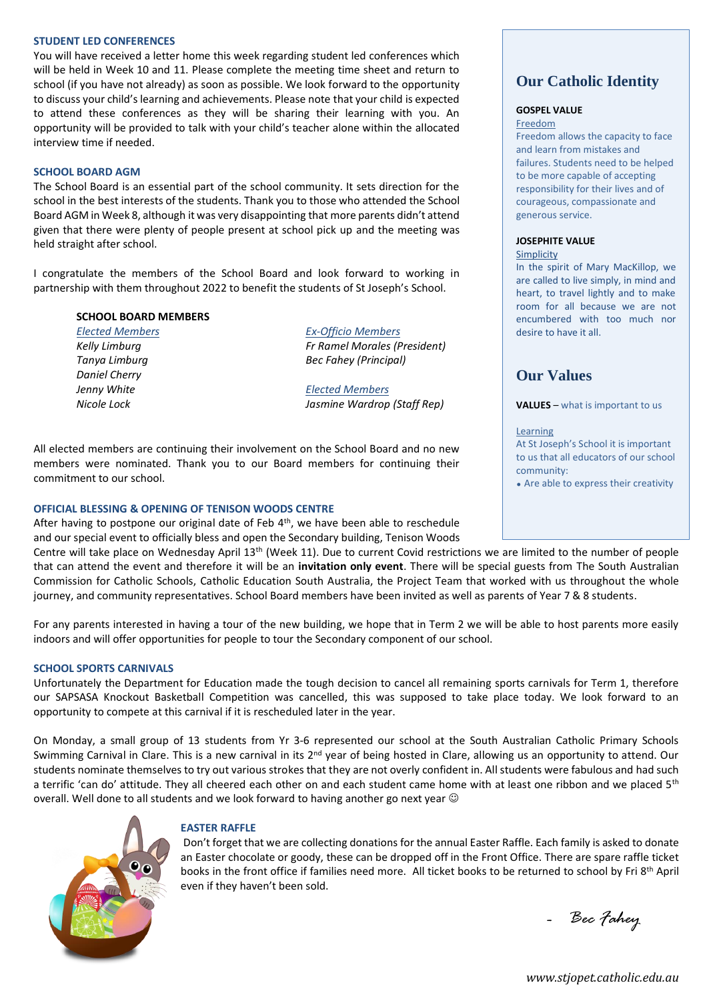#### **STUDENT LED CONFERENCES**

You will have received a letter home this week regarding student led conferences which will be held in Week 10 and 11. Please complete the meeting time sheet and return to school (if you have not already) as soon as possible. We look forward to the opportunity to discuss your child's learning and achievements. Please note that your child is expected to attend these conferences as they will be sharing their learning with you. An opportunity will be provided to talk with your child's teacher alone within the allocated interview time if needed.

#### **SCHOOL BOARD AGM**

The School Board is an essential part of the school community. It sets direction for the school in the best interests of the students. Thank you to those who attended the School Board AGM in Week 8, although it was very disappointing that more parents didn't attend given that there were plenty of people present at school pick up and the meeting was held straight after school.

I congratulate the members of the School Board and look forward to working in partnership with them throughout 2022 to benefit the students of St Joseph's School.

#### **SCHOOL BOARD MEMBERS**

*Elected Members Kelly Limburg Tanya Limburg Daniel Cherry Jenny White Nicole Lock*

*Ex-Officio Members Fr Ramel Morales (President) Bec Fahey (Principal)*

*Elected Members Jasmine Wardrop (Staff Rep)*

All elected members are continuing their involvement on the School Board and no new members were nominated. Thank you to our Board members for continuing their commitment to our school.

#### **OFFICIAL BLESSING & OPENING OF TENISON WOODS CENTRE**

After having to postpone our original date of Feb  $4<sup>th</sup>$ , we have been able to reschedule and our special event to officially bless and open the Secondary building, Tenison Woods

Centre will take place on Wednesday April 13th (Week 11). Due to current Covid restrictions we are limited to the number of people that can attend the event and therefore it will be an **invitation only event**. There will be special guests from The South Australian Commission for Catholic Schools, Catholic Education South Australia, the Project Team that worked with us throughout the whole journey, and community representatives. School Board members have been invited as well as parents of Year 7 & 8 students.

For any parents interested in having a tour of the new building, we hope that in Term 2 we will be able to host parents more easily indoors and will offer opportunities for people to tour the Secondary component of our school.

#### **SCHOOL SPORTS CARNIVALS**

Unfortunately the Department for Education made the tough decision to cancel all remaining sports carnivals for Term 1, therefore our SAPSASA Knockout Basketball Competition was cancelled, this was supposed to take place today. We look forward to an opportunity to compete at this carnival if it is rescheduled later in the year.

On Monday, a small group of 13 students from Yr 3-6 represented our school at the South Australian Catholic Primary Schools Swimming Carnival in Clare. This is a new carnival in its 2<sup>nd</sup> year of being hosted in Clare, allowing us an opportunity to attend. Our students nominate themselves to try out various strokes that they are not overly confident in. All students were fabulous and had such a terrific 'can do' attitude. They all cheered each other on and each student came home with at least one ribbon and we placed 5<sup>th</sup> overall. Well done to all students and we look forward to having another go next year  $\odot$ 



#### **EASTER RAFFLE**

Don't forget that we are collecting donations for the annual Easter Raffle. Each family is asked to donate an Easter chocolate or goody, these can be dropped off in the Front Office. There are spare raffle ticket books in the front office if families need more. All ticket books to be returned to school by Fri 8th April even if they haven't been sold.

*- Bec Fahey*

**Our Catholic Identity**

#### **GOSPEL VALUE**

Freedom

Freedom allows the capacity to face and learn from mistakes and failures. Students need to be helped to be more capable of accepting responsibility for their lives and of courageous, compassionate and generous service.

#### **JOSEPHITE VALUE**

Simplicity

In the spirit of Mary MacKillop, we are called to live simply, in mind and heart, to travel lightly and to make room for all because we are not encumbered with too much nor desire to have it all.

# **Our Values**

**VALUES** – what is important to us

Learning At St Joseph's School it is important to us that all educators of our school community:

• Are able to express their creativity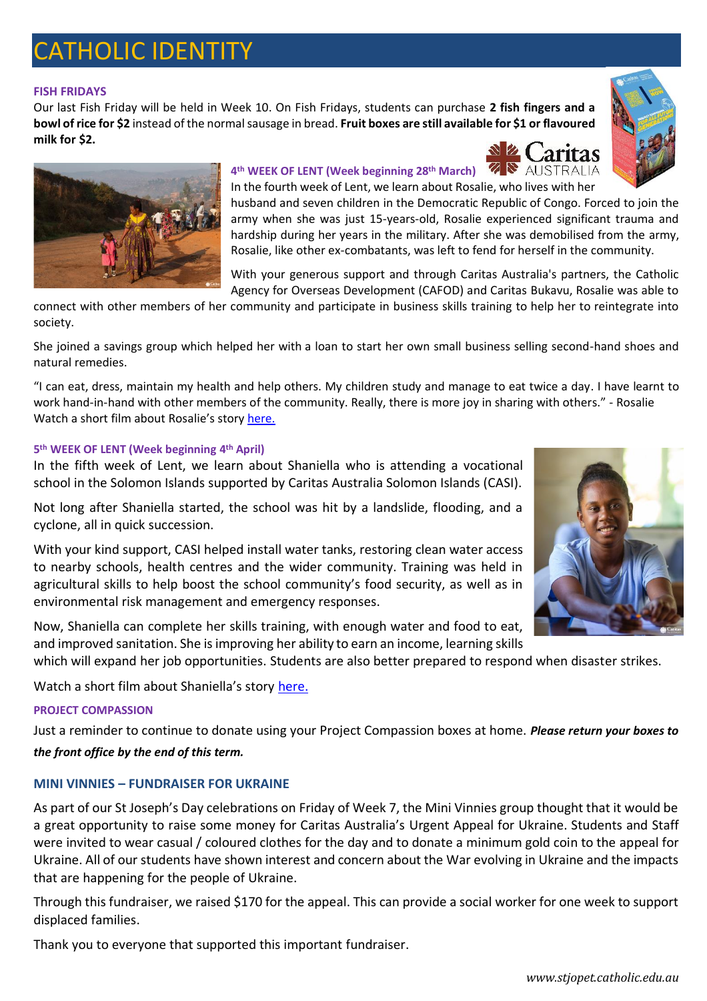# CATHOLIC IDENTITY

#### **FISH FRIDAYS**

Our last Fish Friday will be held in Week 10. On Fish Fridays, students can purchase **2 fish fingers and a bowl of rice for \$2** instead of the normal sausage in bread. **Fruit boxes are still available for \$1 or flavoured milk for \$2.**







## **4 th WEEK OF LENT (Week beginning 28th March)**

In the fourth week of Lent, we learn about Rosalie, who lives with her husband and seven children in the Democratic Republic of Congo. Forced to join the army when she was just 15-years-old, Rosalie experienced significant trauma and hardship during her years in the military. After she was demobilised from the army, Rosalie, like other ex-combatants, was left to fend for herself in the community.

With your generous support and through Caritas Australia's partners, the Catholic Agency for Overseas Development (CAFOD) and Caritas Bukavu, Rosalie was able to

connect with other members of her community and participate in business skills training to help her to reintegrate into society.

She joined a savings group which helped her with a loan to start her own small business selling second-hand shoes and natural remedies.

"I can eat, dress, maintain my health and help others. My children study and manage to eat twice a day. I have learnt to work hand-in-hand with other members of the community. Really, there is more joy in sharing with others." - Rosalie Watch a short film about Rosalie's story [here.](https://www.caritas.org.au/project-compassion/rosalie-story-video)

#### **5 th WEEK OF LENT (Week beginning 4 th April)**

In the fifth week of Lent, we learn about Shaniella who is attending a vocational school in the Solomon Islands supported by Caritas Australia Solomon Islands (CASI).

Not long after Shaniella started, the school was hit by a landslide, flooding, and a cyclone, all in quick succession.

With your kind support, CASI helped install water tanks, restoring clean water access to nearby schools, health centres and the wider community. Training was held in agricultural skills to help boost the school community's food security, as well as in environmental risk management and emergency responses.

Now, Shaniella can complete her skills training, with enough water and food to eat, and improved sanitation. She is improving her ability to earn an income, learning skills

which will expand her job opportunities. Students are also better prepared to respond when disaster strikes.

Watch a short film about Shaniella's story [here.](https://www.caritas.org.au/project-compassion/shaniella-story-video)

### **PROJECT COMPASSION**

Just a reminder to continue to donate using your Project Compassion boxes at home. *Please return your boxes to* 

### *the front office by the end of this term.*

### **MINI VINNIES – FUNDRAISER FOR UKRAINE**

As part of our St Joseph's Day celebrations on Friday of Week 7, the Mini Vinnies group thought that it would be a great opportunity to raise some money for Caritas Australia's Urgent Appeal for Ukraine. Students and Staff were invited to wear casual / coloured clothes for the day and to donate a minimum gold coin to the appeal for Ukraine. All of our students have shown interest and concern about the War evolving in Ukraine and the impacts that are happening for the people of Ukraine.

Through this fundraiser, we raised \$170 for the appeal. This can provide a social worker for one week to support displaced families.

Thank you to everyone that supported this important fundraiser.

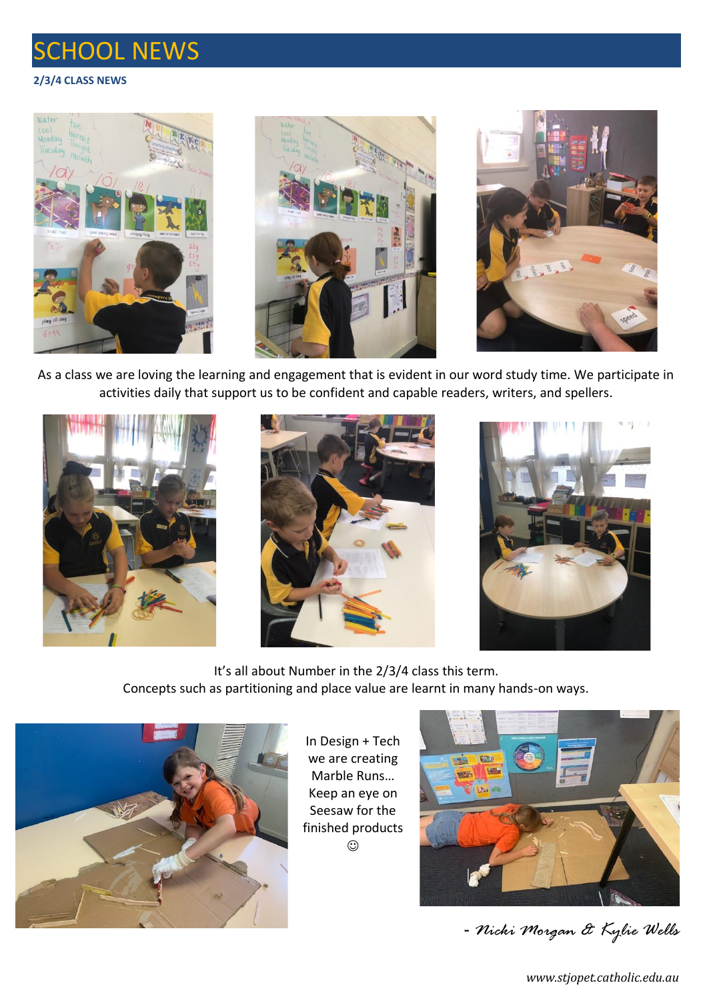# SCHOOL NEWS

## **2/3/4 CLASS NEWS**







As a class we are loving the learning and engagement that is evident in our word study time. We participate in activities daily that support us to be confident and capable readers, writers, and spellers.







It's all about Number in the 2/3/4 class this term. Concepts such as partitioning and place value are learnt in many hands-on ways.



In Design + Tech we are creating Marble Runs… Keep an eye on Seesaw for the finished products  $\odot$ 



- *Nicki Morgan & Kylie Wells*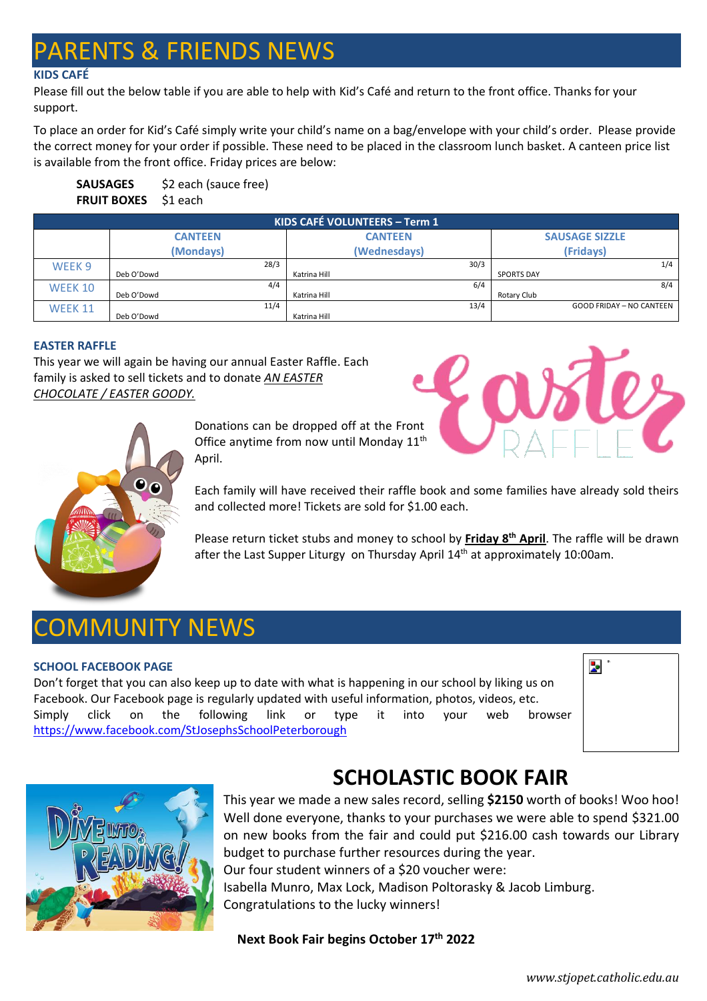# **ARENTS & FRIENDS NEWS**

### **KIDS CAFÉ**

Please fill out the below table if you are able to help with Kid's Café and return to the front office. Thanks for your support.

To place an order for Kid's Café simply write your child's name on a bag/envelope with your child's order. Please provide the correct money for your order if possible. These need to be placed in the classroom lunch basket. A canteen price list is available from the front office. Friday prices are below:

**SAUSAGES** \$2 each (sauce free) **FRUIT BOXES** \$1 each

| KIDS CAFÉ VOLUNTEERS - Term 1 |                |           |                |      |                       |                                 |  |  |  |
|-------------------------------|----------------|-----------|----------------|------|-----------------------|---------------------------------|--|--|--|
|                               | <b>CANTEEN</b> |           | <b>CANTEEN</b> |      | <b>SAUSAGE SIZZLE</b> |                                 |  |  |  |
|                               |                | (Mondays) | (Wednesdays)   |      |                       | (Fridavs)                       |  |  |  |
| WEEK <sub>9</sub>             |                | 28/3      |                | 30/3 |                       | 1/4                             |  |  |  |
|                               | Deb O'Dowd     |           | Katrina Hill   |      | <b>SPORTS DAY</b>     |                                 |  |  |  |
| WEEK 10                       |                | 4/4       |                | 6/4  |                       | 8/4                             |  |  |  |
|                               | Deb O'Dowd     |           | Katrina Hill   |      | Rotary Club           |                                 |  |  |  |
| <b>WEEK 11</b>                |                | 11/4      |                | 13/4 |                       | <b>GOOD FRIDAY - NO CANTEEN</b> |  |  |  |
|                               | Deb O'Dowd     |           | Katrina Hill   |      |                       |                                 |  |  |  |

### **EASTER RAFFLE**

This year we will again be having our annual Easter Raffle. Each family is asked to sell tickets and to donate *AN EASTER CHOCOLATE / EASTER GOODY.*





Donations can be dropped off at the Front Office anytime from now until Monday 11<sup>th</sup> April.

Each family will have received their raffle book and some families have already sold theirs and collected more! Tickets are sold for \$1.00 each.

Please return ticket stubs and money to school by **Friday 8th April**. The raffle will be drawn after the Last Supper Liturgy on Thursday April 14<sup>th</sup> at approximately 10:00am.

# COMMUNITY NEWS

### **SCHOOL FACEBOOK PAGE**

Don't forget that you can also keep up to date with what is happening in our school by liking us on Facebook. Our Facebook page is regularly updated with useful information, photos, videos, etc. Simply click on the following link or type it into your web browser <https://www.facebook.com/StJosephsSchoolPeterborough>





# **SCHOLASTIC BOOK FAIR**

This year we made a new sales record, selling **\$2150** worth of books! Woo hoo! Well done everyone, thanks to your purchases we were able to spend \$321.00 on new books from the fair and could put \$216.00 cash towards our Library budget to purchase further resources during the year. Our four student winners of a \$20 voucher were: Isabella Munro, Max Lock, Madison Poltorasky & Jacob Limburg. Congratulations to the lucky winners!

### **Next Book Fair begins October 17th 2022**